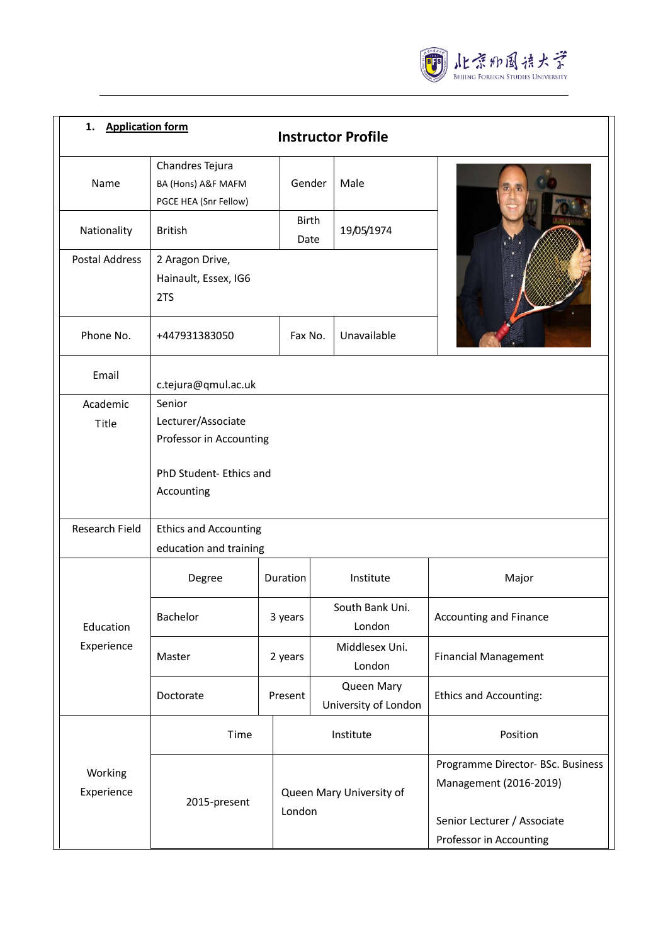

| 1. Application form<br><b>Instructor Profile</b> |                                                                |               |                                    |                                                             |  |  |
|--------------------------------------------------|----------------------------------------------------------------|---------------|------------------------------------|-------------------------------------------------------------|--|--|
| Name                                             | Chandres Tejura<br>BA (Hons) A&F MAFM<br>PGCE HEA (Snr Fellow) | Gender        | Male                               |                                                             |  |  |
| Nationality                                      | <b>British</b>                                                 | Birth<br>Date | 19/05/1974                         |                                                             |  |  |
| <b>Postal Address</b>                            | 2 Aragon Drive,<br>Hainault, Essex, IG6<br>2TS                 |               |                                    |                                                             |  |  |
| Phone No.                                        | +447931383050                                                  | Fax No.       | Unavailable                        |                                                             |  |  |
| Email                                            | c.tejura@qmul.ac.uk                                            |               |                                    |                                                             |  |  |
| Academic<br>Title                                | Senior<br>Lecturer/Associate<br>Professor in Accounting        |               |                                    |                                                             |  |  |
|                                                  | PhD Student- Ethics and<br>Accounting                          |               |                                    |                                                             |  |  |
| Research Field                                   | <b>Ethics and Accounting</b><br>education and training         |               |                                    |                                                             |  |  |
| Education<br>Experience                          | Degree                                                         | Duration      | Institute                          | Major                                                       |  |  |
|                                                  | Bachelor                                                       | 3 years       | South Bank Uni.<br>London          | <b>Accounting and Finance</b>                               |  |  |
|                                                  | Master                                                         | 2 years       | Middlesex Uni.<br>London           | <b>Financial Management</b>                                 |  |  |
|                                                  | Doctorate                                                      | Present       | Queen Mary<br>University of London | <b>Ethics and Accounting:</b>                               |  |  |
| Working<br>Experience                            | Time                                                           |               | Institute                          | Position                                                    |  |  |
|                                                  | 2015-present                                                   |               | Queen Mary University of           | Programme Director- BSc. Business<br>Management (2016-2019) |  |  |
|                                                  |                                                                | London        |                                    | Senior Lecturer / Associate<br>Professor in Accounting      |  |  |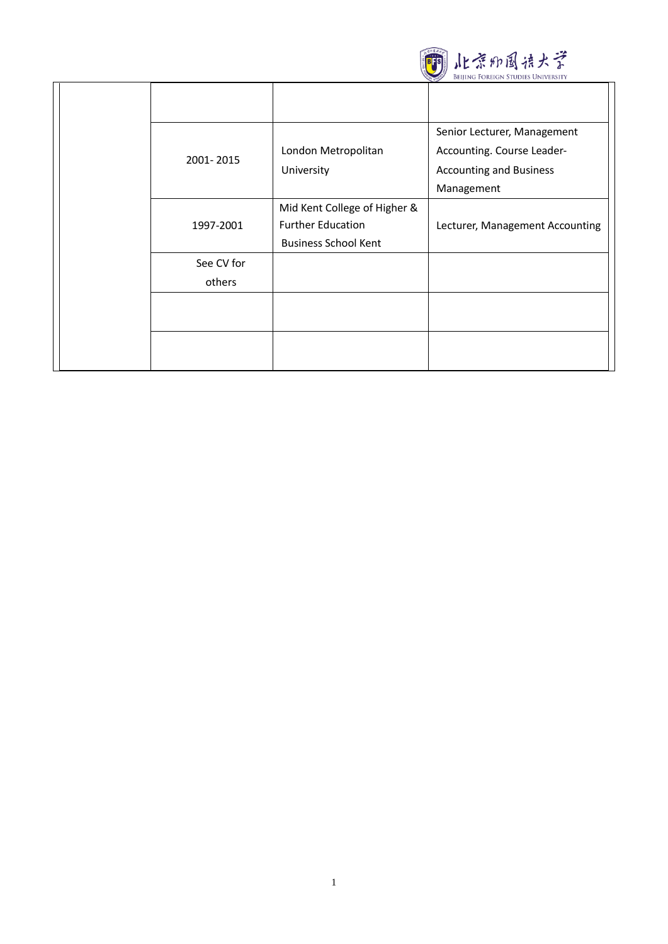

| 2001-2015            | London Metropolitan<br>University                                                       | Senior Lecturer, Management<br>Accounting. Course Leader-<br><b>Accounting and Business</b><br>Management |
|----------------------|-----------------------------------------------------------------------------------------|-----------------------------------------------------------------------------------------------------------|
| 1997-2001            | Mid Kent College of Higher &<br><b>Further Education</b><br><b>Business School Kent</b> | Lecturer, Management Accounting                                                                           |
| See CV for<br>others |                                                                                         |                                                                                                           |
|                      |                                                                                         |                                                                                                           |
|                      |                                                                                         |                                                                                                           |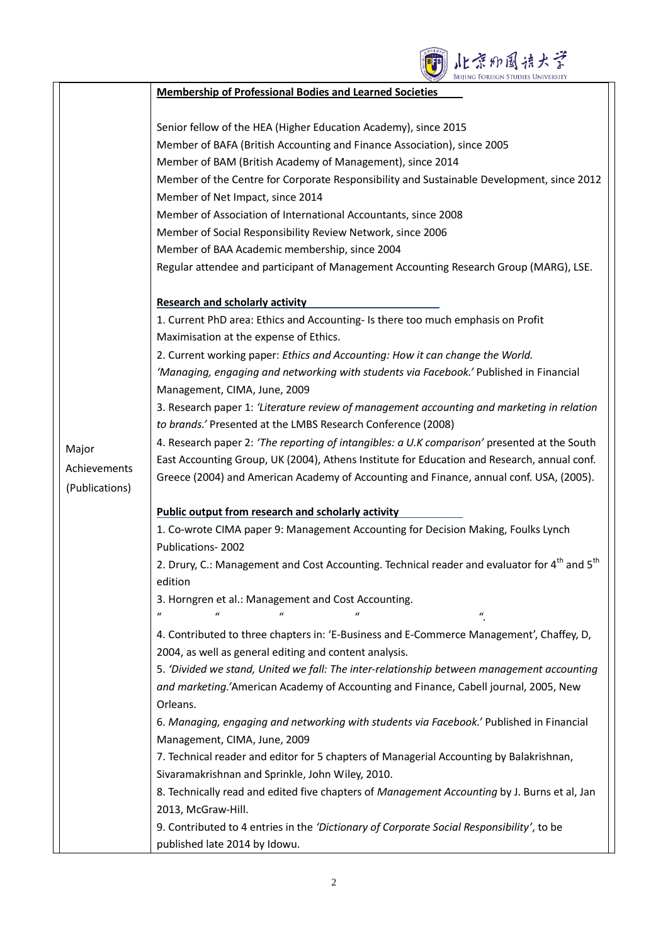

|                | <b>Membership of Professional Bodies and Learned Societies</b>                                                       |
|----------------|----------------------------------------------------------------------------------------------------------------------|
|                | Senior fellow of the HEA (Higher Education Academy), since 2015                                                      |
|                | Member of BAFA (British Accounting and Finance Association), since 2005                                              |
|                | Member of BAM (British Academy of Management), since 2014                                                            |
|                | Member of the Centre for Corporate Responsibility and Sustainable Development, since 2012                            |
|                | Member of Net Impact, since 2014                                                                                     |
|                | Member of Association of International Accountants, since 2008                                                       |
|                | Member of Social Responsibility Review Network, since 2006                                                           |
|                | Member of BAA Academic membership, since 2004                                                                        |
|                | Regular attendee and participant of Management Accounting Research Group (MARG), LSE.                                |
|                |                                                                                                                      |
|                | <b>Research and scholarly activity</b>                                                                               |
|                | 1. Current PhD area: Ethics and Accounting- Is there too much emphasis on Profit                                     |
|                | Maximisation at the expense of Ethics.                                                                               |
|                | 2. Current working paper: Ethics and Accounting: How it can change the World.                                        |
|                | 'Managing, engaging and networking with students via Facebook.' Published in Financial                               |
|                | Management, CIMA, June, 2009                                                                                         |
|                | 3. Research paper 1: 'Literature review of management accounting and marketing in relation                           |
|                | to brands.' Presented at the LMBS Research Conference (2008)                                                         |
| Major          | 4. Research paper 2: 'The reporting of intangibles: a U.K comparison' presented at the South                         |
| Achievements   | East Accounting Group, UK (2004), Athens Institute for Education and Research, annual conf.                          |
| (Publications) | Greece (2004) and American Academy of Accounting and Finance, annual conf. USA, (2005).                              |
|                | <b>Public output from research and scholarly activity</b>                                                            |
|                | 1. Co-wrote CIMA paper 9: Management Accounting for Decision Making, Foulks Lynch                                    |
|                | Publications-2002                                                                                                    |
|                | 2. Drury, C.: Management and Cost Accounting. Technical reader and evaluator for 4 <sup>th</sup> and 5 <sup>th</sup> |
|                | edition                                                                                                              |
|                | 3. Horngren et al.: Management and Cost Accounting.                                                                  |
|                | $\boldsymbol{u}$<br>$\mathcal{U}$<br>$\boldsymbol{u}$                                                                |
|                | 4. Contributed to three chapters in: 'E-Business and E-Commerce Management', Chaffey, D,                             |
|                | 2004, as well as general editing and content analysis.                                                               |
|                | 5. 'Divided we stand, United we fall: The inter-relationship between management accounting                           |
|                | and marketing.'American Academy of Accounting and Finance, Cabell journal, 2005, New                                 |
|                | Orleans.                                                                                                             |
|                | 6. Managing, engaging and networking with students via Facebook.' Published in Financial                             |
|                | Management, CIMA, June, 2009                                                                                         |
|                | 7. Technical reader and editor for 5 chapters of Managerial Accounting by Balakrishnan,                              |
|                | Sivaramakrishnan and Sprinkle, John Wiley, 2010.                                                                     |
|                | 8. Technically read and edited five chapters of Management Accounting by J. Burns et al, Jan                         |
|                | 2013, McGraw-Hill.                                                                                                   |
|                | 9. Contributed to 4 entries in the 'Dictionary of Corporate Social Responsibility', to be                            |
|                | published late 2014 by Idowu.                                                                                        |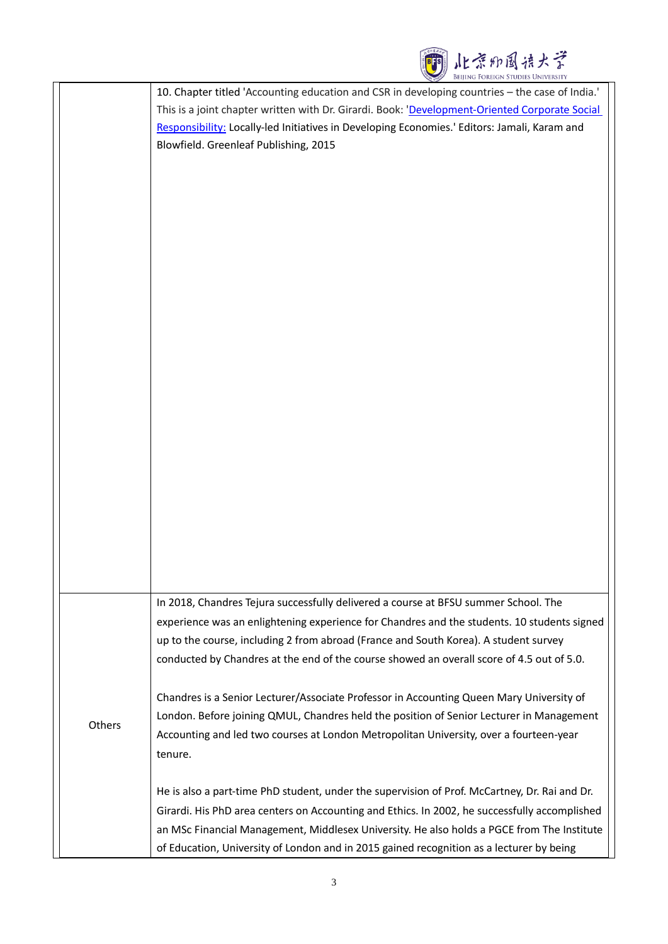| 北京加国语大学<br>Beiling Foreign Studies University                                                                                                                                                                                                                                                                                                                                                                                                                                      |        |
|------------------------------------------------------------------------------------------------------------------------------------------------------------------------------------------------------------------------------------------------------------------------------------------------------------------------------------------------------------------------------------------------------------------------------------------------------------------------------------|--------|
| 10. Chapter titled 'Accounting education and CSR in developing countries - the case of India.'                                                                                                                                                                                                                                                                                                                                                                                     |        |
| This is a joint chapter written with Dr. Girardi. Book: 'Development-Oriented Corporate Social                                                                                                                                                                                                                                                                                                                                                                                     |        |
| Responsibility: Locally-led Initiatives in Developing Economies.' Editors: Jamali, Karam and                                                                                                                                                                                                                                                                                                                                                                                       |        |
| Blowfield. Greenleaf Publishing, 2015                                                                                                                                                                                                                                                                                                                                                                                                                                              |        |
|                                                                                                                                                                                                                                                                                                                                                                                                                                                                                    |        |
|                                                                                                                                                                                                                                                                                                                                                                                                                                                                                    |        |
|                                                                                                                                                                                                                                                                                                                                                                                                                                                                                    |        |
|                                                                                                                                                                                                                                                                                                                                                                                                                                                                                    |        |
|                                                                                                                                                                                                                                                                                                                                                                                                                                                                                    |        |
|                                                                                                                                                                                                                                                                                                                                                                                                                                                                                    |        |
|                                                                                                                                                                                                                                                                                                                                                                                                                                                                                    |        |
|                                                                                                                                                                                                                                                                                                                                                                                                                                                                                    |        |
|                                                                                                                                                                                                                                                                                                                                                                                                                                                                                    |        |
|                                                                                                                                                                                                                                                                                                                                                                                                                                                                                    |        |
|                                                                                                                                                                                                                                                                                                                                                                                                                                                                                    |        |
|                                                                                                                                                                                                                                                                                                                                                                                                                                                                                    |        |
|                                                                                                                                                                                                                                                                                                                                                                                                                                                                                    |        |
|                                                                                                                                                                                                                                                                                                                                                                                                                                                                                    |        |
|                                                                                                                                                                                                                                                                                                                                                                                                                                                                                    |        |
|                                                                                                                                                                                                                                                                                                                                                                                                                                                                                    |        |
|                                                                                                                                                                                                                                                                                                                                                                                                                                                                                    |        |
|                                                                                                                                                                                                                                                                                                                                                                                                                                                                                    |        |
|                                                                                                                                                                                                                                                                                                                                                                                                                                                                                    |        |
|                                                                                                                                                                                                                                                                                                                                                                                                                                                                                    |        |
|                                                                                                                                                                                                                                                                                                                                                                                                                                                                                    |        |
|                                                                                                                                                                                                                                                                                                                                                                                                                                                                                    |        |
|                                                                                                                                                                                                                                                                                                                                                                                                                                                                                    |        |
|                                                                                                                                                                                                                                                                                                                                                                                                                                                                                    |        |
| In 2018, Chandres Tejura successfully delivered a course at BFSU summer School. The                                                                                                                                                                                                                                                                                                                                                                                                |        |
| experience was an enlightening experience for Chandres and the students. 10 students signed                                                                                                                                                                                                                                                                                                                                                                                        |        |
| up to the course, including 2 from abroad (France and South Korea). A student survey                                                                                                                                                                                                                                                                                                                                                                                               |        |
| conducted by Chandres at the end of the course showed an overall score of 4.5 out of 5.0.                                                                                                                                                                                                                                                                                                                                                                                          |        |
|                                                                                                                                                                                                                                                                                                                                                                                                                                                                                    |        |
| Chandres is a Senior Lecturer/Associate Professor in Accounting Queen Mary University of                                                                                                                                                                                                                                                                                                                                                                                           |        |
| London. Before joining QMUL, Chandres held the position of Senior Lecturer in Management                                                                                                                                                                                                                                                                                                                                                                                           |        |
|                                                                                                                                                                                                                                                                                                                                                                                                                                                                                    | Others |
| tenure.                                                                                                                                                                                                                                                                                                                                                                                                                                                                            |        |
|                                                                                                                                                                                                                                                                                                                                                                                                                                                                                    |        |
|                                                                                                                                                                                                                                                                                                                                                                                                                                                                                    |        |
|                                                                                                                                                                                                                                                                                                                                                                                                                                                                                    |        |
|                                                                                                                                                                                                                                                                                                                                                                                                                                                                                    |        |
|                                                                                                                                                                                                                                                                                                                                                                                                                                                                                    |        |
| Accounting and led two courses at London Metropolitan University, over a fourteen-year<br>He is also a part-time PhD student, under the supervision of Prof. McCartney, Dr. Rai and Dr.<br>Girardi. His PhD area centers on Accounting and Ethics. In 2002, he successfully accomplished<br>an MSc Financial Management, Middlesex University. He also holds a PGCE from The Institute<br>of Education, University of London and in 2015 gained recognition as a lecturer by being |        |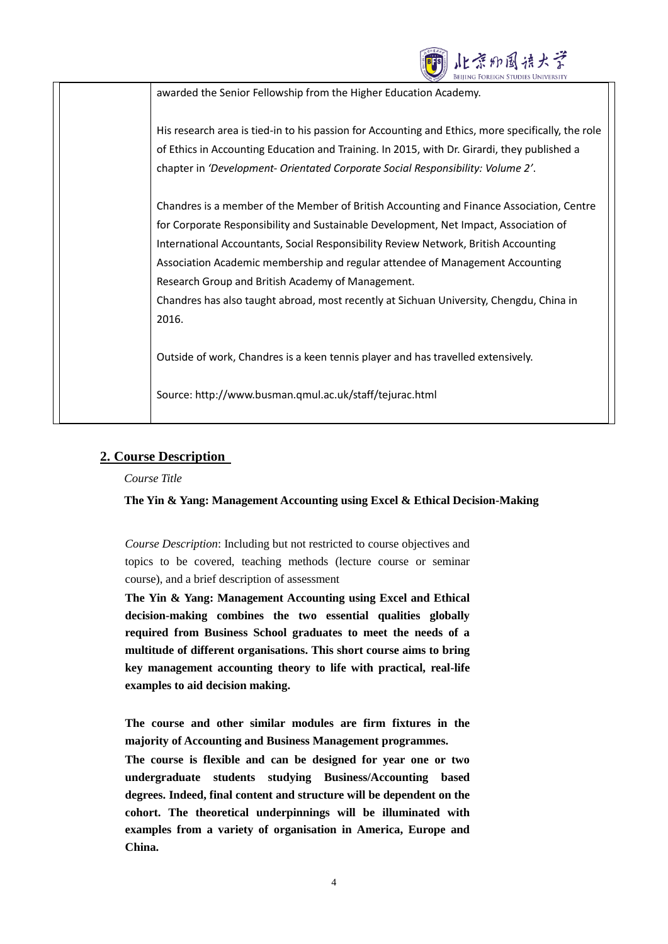| 水茶加国语大学                                                                                            |  |
|----------------------------------------------------------------------------------------------------|--|
| awarded the Senior Fellowship from the Higher Education Academy.                                   |  |
|                                                                                                    |  |
| His research area is tied-in to his passion for Accounting and Ethics, more specifically, the role |  |
| of Ethics in Accounting Education and Training. In 2015, with Dr. Girardi, they published a        |  |
| chapter in 'Development- Orientated Corporate Social Responsibility: Volume 2'.                    |  |
| Chandres is a member of the Member of British Accounting and Finance Association, Centre           |  |
| for Corporate Responsibility and Sustainable Development, Net Impact, Association of               |  |
| International Accountants, Social Responsibility Review Network, British Accounting                |  |
| Association Academic membership and regular attendee of Management Accounting                      |  |
| Research Group and British Academy of Management.                                                  |  |
| Chandres has also taught abroad, most recently at Sichuan University, Chengdu, China in            |  |
| 2016.                                                                                              |  |
| Outside of work, Chandres is a keen tennis player and has travelled extensively.                   |  |
| Source: http://www.busman.qmul.ac.uk/staff/tejurac.html                                            |  |

# **2. Course Description**

*Course Title* 

## **The Yin & Yang: Management Accounting using Excel & Ethical Decision-Making**

*Course Description*: Including but not restricted to course objectives and topics to be covered, teaching methods (lecture course or seminar course), and a brief description of assessment

**The Yin & Yang: Management Accounting using Excel and Ethical decision-making combines the two essential qualities globally required from Business School graduates to meet the needs of a multitude of different organisations. This short course aims to bring key management accounting theory to life with practical, real-life examples to aid decision making.**

**The course and other similar modules are firm fixtures in the majority of Accounting and Business Management programmes.**

**The course is flexible and can be designed for year one or two undergraduate students studying Business/Accounting based degrees. Indeed, final content and structure will be dependent on the cohort. The theoretical underpinnings will be illuminated with examples from a variety of organisation in America, Europe and China.**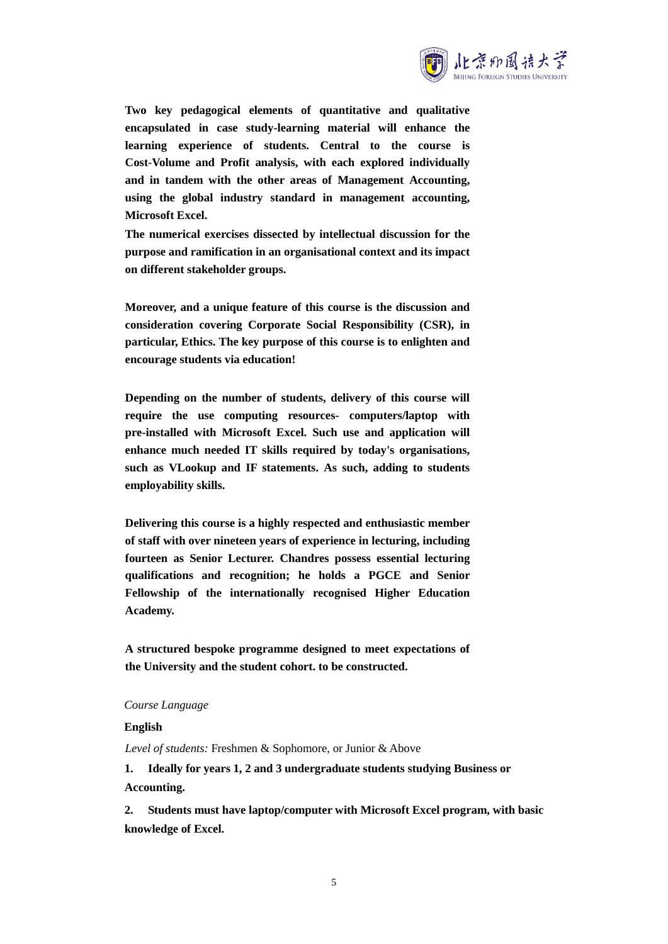

**Two key pedagogical elements of quantitative and qualitative encapsulated in case study-learning material will enhance the learning experience of students. Central to the course is Cost-Volume and Profit analysis, with each explored individually and in tandem with the other areas of Management Accounting, using the global industry standard in management accounting, Microsoft Excel.**

**The numerical exercises dissected by intellectual discussion for the purpose and ramification in an organisational context and its impact on different stakeholder groups.**

**Moreover, and a unique feature of this course is the discussion and consideration covering Corporate Social Responsibility (CSR), in particular, Ethics. The key purpose of this course is to enlighten and encourage students via education!**

**Depending on the number of students, delivery of this course will require the use computing resources- computers/laptop with pre-installed with Microsoft Excel. Such use and application will enhance much needed IT skills required by today's organisations, such as VLookup and IF statements. As such, adding to students employability skills.**

**Delivering this course is a highly respected and enthusiastic member of staff with over nineteen years of experience in lecturing, including fourteen as Senior Lecturer. Chandres possess essential lecturing qualifications and recognition; he holds a PGCE and Senior Fellowship of the internationally recognised Higher Education Academy.** 

**A structured bespoke programme designed to meet expectations of the University and the student cohort. to be constructed.**

#### *Course Language*

**English**

*Level of students:* Freshmen & Sophomore, or Junior & Above

**1. Ideally for years 1, 2 and 3 undergraduate students studying Business or Accounting.**

**2. Students must have laptop/computer with Microsoft Excel program, with basic knowledge of Excel.**